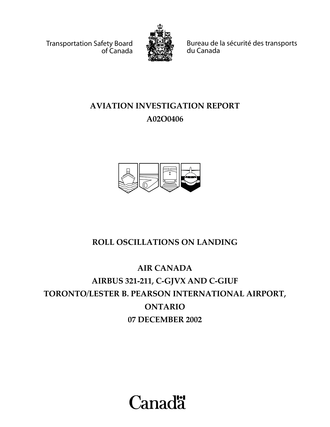Transportation Safety Board of Canada



Bureau de la sécurité des transports du Canada

# **AVIATION INVESTIGATION REPORT A02O0406**



# **ROLL OSCILLATIONS ON LANDING**

# **AIR CANADA AIRBUS 321-211, C-GJVX AND C-GIUF TORONTO/LESTER B. PEARSON INTERNATIONAL AIRPORT, ONTARIO 07 DECEMBER 2002**

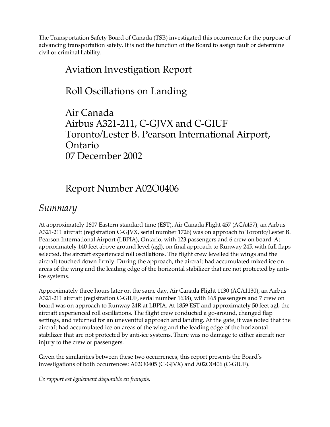The Transportation Safety Board of Canada (TSB) investigated this occurrence for the purpose of advancing transportation safety. It is not the function of the Board to assign fault or determine civil or criminal liability.

## Aviation Investigation Report

## Roll Oscillations on Landing

Air Canada Airbus A321-211, C-GJVX and C-GIUF Toronto/Lester B. Pearson International Airport, Ontario 07 December 2002

# Report Number A02O0406

## *Summary*

At approximately 1607 Eastern standard time (EST), Air Canada Flight 457 (ACA457), an Airbus A321-211 aircraft (registration C-GJVX, serial number 1726) was on approach to Toronto/Lester B. Pearson International Airport (LBPIA), Ontario, with 123 passengers and 6 crew on board. At approximately 140 feet above ground level (agl), on final approach to Runway 24R with full flaps selected, the aircraft experienced roll oscillations. The flight crew levelled the wings and the aircraft touched down firmly. During the approach, the aircraft had accumulated mixed ice on areas of the wing and the leading edge of the horizontal stabilizer that are not protected by antiice systems.

Approximately three hours later on the same day, Air Canada Flight 1130 (ACA1130), an Airbus A321-211 aircraft (registration C-GIUF, serial number 1638), with 165 passengers and 7 crew on board was on approach to Runway 24R at LBPIA. At 1859 EST and approximately 50 feet agl, the aircraft experienced roll oscillations. The flight crew conducted a go-around, changed flap settings, and returned for an uneventful approach and landing. At the gate, it was noted that the aircraft had accumulated ice on areas of the wing and the leading edge of the horizontal stabilizer that are not protected by anti-ice systems. There was no damage to either aircraft nor injury to the crew or passengers.

Given the similarities between these two occurrences, this report presents the Board's investigations of both occurrences: A02O0405 (C-GJVX) and A02O0406 (C-GIUF).

*Ce rapport est également disponible en français.*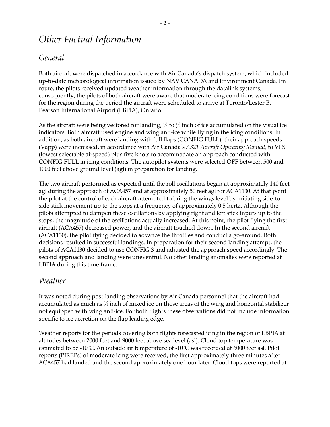## *Other Factual Information*

### *General*

Both aircraft were dispatched in accordance with Air Canada's dispatch system, which included up-to-date meteorological information issued by NAV CANADA and Environment Canada. En route, the pilots received updated weather information through the datalink systems; consequently, the pilots of both aircraft were aware that moderate icing conditions were forecast for the region during the period the aircraft were scheduled to arrive at Toronto/Lester B. Pearson International Airport (LBPIA), Ontario.

As the aircraft were being vectored for landing,  $\frac{1}{4}$  to  $\frac{1}{2}$  inch of ice accumulated on the visual ice indicators. Both aircraft used engine and wing anti-ice while flying in the icing conditions. In addition, as both aircraft were landing with full flaps (CONFIG FULL), their approach speeds (Vapp) were increased, in accordance with Air Canadaís *A321 Aircraft Operating Manual*, to VLS (lowest selectable airspeed) plus five knots to accommodate an approach conducted with CONFIG FULL in icing conditions. The autopilot systems were selected OFF between 500 and 1000 feet above ground level (agl) in preparation for landing.

The two aircraft performed as expected until the roll oscillations began at approximately 140 feet agl during the approach of ACA457 and at approximately 50 feet agl for ACA1130. At that point the pilot at the control of each aircraft attempted to bring the wings level by initiating side-toside stick movement up to the stops at a frequency of approximately 0.5 hertz. Although the pilots attempted to dampen these oscillations by applying right and left stick inputs up to the stops, the magnitude of the oscillations actually increased. At this point, the pilot flying the first aircraft (ACA457) decreased power, and the aircraft touched down. In the second aircraft (ACA1130), the pilot flying decided to advance the throttles and conduct a go-around. Both decisions resulted in successful landings. In preparation for their second landing attempt, the pilots of ACA1130 decided to use CONFIG 3 and adjusted the approach speed accordingly. The second approach and landing were uneventful. No other landing anomalies were reported at LBPIA during this time frame.

### *Weather*

It was noted during post-landing observations by Air Canada personnel that the aircraft had accumulated as much as  $\frac{3}{4}$  inch of mixed ice on those areas of the wing and horizontal stabilizer not equipped with wing anti-ice. For both flights these observations did not include information specific to ice accretion on the flap leading edge.

Weather reports for the periods covering both flights forecasted icing in the region of LBPIA at altitudes between 2000 feet and 9000 feet above sea level (asl). Cloud top temperature was estimated to be -10°C. An outside air temperature of -10°C was recorded at 6000 feet asl. Pilot reports (PIREPs) of moderate icing were received, the first approximately three minutes after ACA457 had landed and the second approximately one hour later. Cloud tops were reported at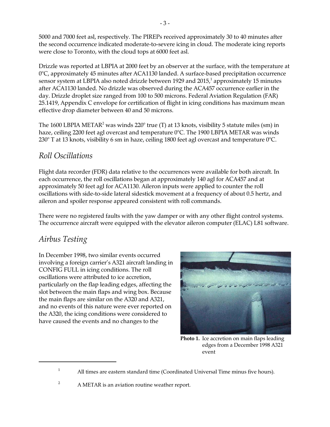5000 and 7000 feet asl, respectively. The PIREPs received approximately 30 to 40 minutes after the second occurrence indicated moderate-to-severe icing in cloud. The moderate icing reports were close to Toronto, with the cloud tops at 6000 feet asl.

Drizzle was reported at LBPIA at 2000 feet by an observer at the surface, with the temperature at 0°C, approximately 45 minutes after ACA1130 landed. A surface-based precipitation occurrence sensor system at LBPIA also noted drizzle between 1929 and 2015, $^1$  approximately 15 minutes after ACA1130 landed. No drizzle was observed during the ACA457 occurrence earlier in the day. Drizzle droplet size ranged from 100 to 500 microns. Federal Aviation Regulation (FAR) 25.1419, Appendix C envelope for certification of flight in icing conditions has maximum mean effective drop diameter between 40 and 50 microns.

The 1600 LBPIA METAR $^2$  was winds 220° true (T) at 13 knots, visibility 5 statute miles (sm) in haze, ceiling 2200 feet agl overcast and temperature 0°C. The 1900 LBPIA METAR was winds  $230^{\circ}$  T at 13 knots, visibility 6 sm in haze, ceiling 1800 feet agl overcast and temperature  $0^{\circ}$ C.

### *Roll Oscillations*

Flight data recorder (FDR) data relative to the occurrences were available for both aircraft. In each occurrence, the roll oscillations began at approximately 140 agl for ACA457 and at approximately 50 feet agl for ACA1130. Aileron inputs were applied to counter the roll oscillations with side-to-side lateral sidestick movement at a frequency of about 0.5 hertz, and aileron and spoiler response appeared consistent with roll commands.

There were no registered faults with the yaw damper or with any other flight control systems. The occurrence aircraft were equipped with the elevator aileron computer (ELAC) L81 software.

## *Airbus Testing*

In December 1998, two similar events occurred involving a foreign carrier's A321 aircraft landing in CONFIG FULL in icing conditions. The roll oscillations were attributed to ice accretion, particularly on the flap leading edges, affecting the slot between the main flaps and wing box. Because the main flaps are similar on the A320 and A321, and no events of this nature were ever reported on the A320, the icing conditions were considered to have caused the events and no changes to the



**Photo 1.** Ice accretion on main flaps leading edges from a December 1998 A321 event

<sup>1</sup> All times are eastern standard time (Coordinated Universal Time minus five hours).

 $2^2$  A METAR is an aviation routine weather report.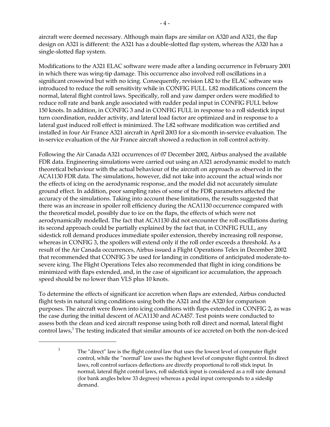aircraft were deemed necessary. Although main flaps are similar on A320 and A321, the flap design on A321 is different: the A321 has a double-slotted flap system, whereas the A320 has a single-slotted flap system.

Modifications to the A321 ELAC software were made after a landing occurrence in February 2001 in which there was wing-tip damage. This occurrence also involved roll oscillations in a significant crosswind but with no icing. Consequently, revision L82 to the ELAC software was introduced to reduce the roll sensitivity while in CONFIG FULL. L82 modifications concern the normal, lateral flight control laws. Specifically, roll and yaw damper orders were modified to reduce roll rate and bank angle associated with rudder pedal input in CONFIG FULL below 150 knots. In addition, in CONFIG 3 and in CONFIG FULL in response to a roll sidestick input turn coordination, rudder activity, and lateral load factor are optimized and in response to a lateral gust induced roll effect is minimized. The L82 software modification was certified and installed in four Air France A321 aircraft in April 2003 for a six-month in-service evaluation. The in-service evaluation of the Air France aircraft showed a reduction in roll control activity.

Following the Air Canada A321 occurrences of 07 December 2002, Airbus analysed the available FDR data. Engineering simulations were carried out using an A321 aerodynamic model to match theoretical behaviour with the actual behaviour of the aircraft on approach as observed in the ACA1130 FDR data. The simulations, however, did not take into account the actual winds nor the effects of icing on the aerodynamic response, and the model did not accurately simulate ground effect. In addition, poor sampling rates of some of the FDR parameters affected the accuracy of the simulations. Taking into account these limitations, the results suggested that there was an increase in spoiler roll efficiency during the ACA1130 occurrence compared with the theoretical model, possibly due to ice on the flaps, the effects of which were not aerodynamically modelled. The fact that ACA1130 did not encounter the roll oscillations during its second approach could be partially explained by the fact that, in CONFIG FULL, any sidestick roll demand produces immediate spoiler extension, thereby increasing roll response, whereas in CONFIG 3, the spoilers will extend only if the roll order exceeds a threshold. As a result of the Air Canada occurrences, Airbus issued a Flight Operations Telex in December 2002 that recommended that CONFIG 3 be used for landing in conditions of anticipated moderate-tosevere icing. The Flight Operations Telex also recommended that flight in icing conditions be minimized with flaps extended, and, in the case of significant ice accumulation, the approach speed should be no lower than VLS plus 10 knots.

To determine the effects of significant ice accretion when flaps are extended, Airbus conducted flight tests in natural icing conditions using both the A321 and the A320 for comparison purposes. The aircraft were flown into icing conditions with flaps extended in CONFIG 2, as was the case during the initial descent of ACA1130 and ACA457. Test points were conducted to assess both the clean and iced aircraft response using both roll direct and normal, lateral flight control laws, $^3$  The testing indicated that similar amounts of ice accreted on both the non-de-iced

 $3$  The "direct" law is the flight control law that uses the lowest level of computer flight control, while the "normal" law uses the highest level of computer flight control. In direct laws, roll control surfaces deflections are directly proportional to roll stick input. In normal, lateral flight control laws, roll sidestick input is considered as a roll rate demand (for bank angles below 33 degrees) whereas a pedal input corresponds to a sideslip demand.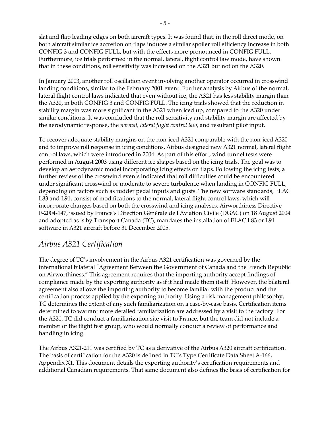slat and flap leading edges on both aircraft types. It was found that, in the roll direct mode, on both aircraft similar ice accretion on flaps induces a similar spoiler roll efficiency increase in both CONFIG 3 and CONFIG FULL, but with the effects more pronounced in CONFIG FULL. Furthermore, ice trials performed in the normal, lateral, flight control law mode, have shown that in these conditions, roll sensitivity was increased on the A321 but not on the A320.

In January 2003, another roll oscillation event involving another operator occurred in crosswind landing conditions, similar to the February 2001 event. Further analysis by Airbus of the normal, lateral flight control laws indicated that even without ice, the A321 has less stability margin than the A320, in both CONFIG 3 and CONFIG FULL. The icing trials showed that the reduction in stability margin was more significant in the A321 when iced up, compared to the A320 under similar conditions. It was concluded that the roll sensitivity and stability margin are affected by the aerodynamic response, the *normal, lateral flight control law*, and resultant pilot input.

To recover adequate stability margins on the non-iced A321 comparable with the non-iced A320 and to improve roll response in icing conditions, Airbus designed new A321 normal, lateral flight control laws, which were introduced in 2004. As part of this effort, wind tunnel tests were performed in August 2003 using different ice shapes based on the icing trials. The goal was to develop an aerodynamic model incorporating icing effects on flaps. Following the icing tests, a further review of the crosswind events indicated that roll difficulties could be encountered under significant crosswind or moderate to severe turbulence when landing in CONFIG FULL, depending on factors such as rudder pedal inputs and gusts. The new software standards, ELAC L83 and L91, consist of modifications to the normal, lateral flight control laws, which will incorporate changes based on both the crosswind and icing analyses. Airworthiness Directive F-2004-147, issued by France's Direction Générale de l'Aviation Civile (DGAC) on 18 August 2004 and adopted as is by Transport Canada (TC), mandates the installation of ELAC L83 or L91 software in A321 aircraft before 31 December 2005.

### *Airbus A321 Certification*

The degree of TCís involvement in the Airbus A321 certification was governed by the international bilateral "Agreement Between the Government of Canada and the French Republic on Airworthiness.î This agreement requires that the importing authority accept findings of compliance made by the exporting authority as if it had made them itself. However, the bilateral agreement also allows the importing authority to become familiar with the product and the certification process applied by the exporting authority. Using a risk management philosophy, TC determines the extent of any such familiarization on a case-by-case basis. Certification items determined to warrant more detailed familiarization are addressed by a visit to the factory. For the A321, TC did conduct a familiarization site visit to France, but the team did not include a member of the flight test group, who would normally conduct a review of performance and handling in icing.

The Airbus A321-211 was certified by TC as a derivative of the Airbus A320 aircraft certification. The basis of certification for the A320 is defined in TC's Type Certificate Data Sheet A-166, Appendix X1. This document details the exporting authority's certification requirements and additional Canadian requirements. That same document also defines the basis of certification for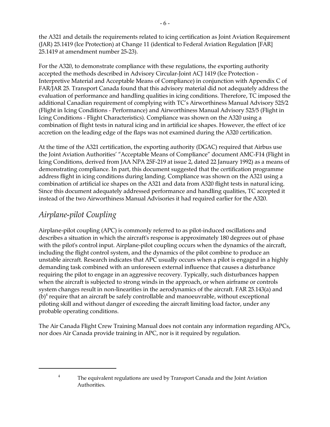the A321 and details the requirements related to icing certification as Joint Aviation Requirement (JAR) 25.1419 (Ice Protection) at Change 11 (identical to Federal Aviation Regulation [FAR] 25.1419 at amendment number 25-23).

For the A320, to demonstrate compliance with these regulations, the exporting authority accepted the methods described in Advisory Circular-Joint ACJ 1419 (Ice Protection - Interpretive Material and Acceptable Means of Compliance) in conjunction with Appendix C of FAR/JAR 25. Transport Canada found that this advisory material did not adequately address the evaluation of performance and handling qualities in icing conditions. Therefore, TC imposed the additional Canadian requirement of complying with TC's Airworthiness Manual Advisory 525/2 (Flight in Icing Conditions - Performance) and Airworthiness Manual Advisory 525/5 (Flight in Icing Conditions - Flight Characteristics). Compliance was shown on the A320 using a combination of flight tests in natural icing and in artificial ice shapes. However, the effect of ice accretion on the leading edge of the flaps was not examined during the A320 certification.

At the time of the A321 certification, the exporting authority (DGAC) required that Airbus use the Joint Aviation Authorities' "Acceptable Means of Compliance" document AMC-F14 (Flight in Icing Conditions, derived from JAA NPA 25F-219 at issue 2, dated 22 January 1992) as a means of demonstrating compliance. In part, this document suggested that the certification programme address flight in icing conditions during landing. Compliance was shown on the A321 using a combination of artificial ice shapes on the A321 and data from A320 flight tests in natural icing. Since this document adequately addressed performance and handling qualities, TC accepted it instead of the two Airworthiness Manual Advisories it had required earlier for the A320.

## *Airplane-pilot Coupling*

Airplane-pilot coupling (APC) is commonly referred to as pilot-induced oscillations and describes a situation in which the aircraft's response is approximately 180 degrees out of phase with the pilot's control input. Airplane-pilot coupling occurs when the dynamics of the aircraft, including the flight control system, and the dynamics of the pilot combine to produce an unstable aircraft. Research indicates that APC usually occurs when a pilot is engaged in a highly demanding task combined with an unforeseen external influence that causes a disturbance requiring the pilot to engage in an aggressive recovery. Typically, such disturbances happen when the aircraft is subjected to strong winds in the approach, or when airframe or controls system changes result in non-linearities in the aerodynamics of the aircraft. FAR 25.143(a) and (b) $^4$  require that an aircraft be safely controllable and manoeuvrable, without exceptional piloting skill and without danger of exceeding the aircraft limiting load factor, under any probable operating conditions.

The Air Canada Flight Crew Training Manual does not contain any information regarding APCs, nor does Air Canada provide training in APC, nor is it required by regulation.

<sup>&</sup>lt;sup>4</sup> The equivalent regulations are used by Transport Canada and the Joint Aviation Authorities.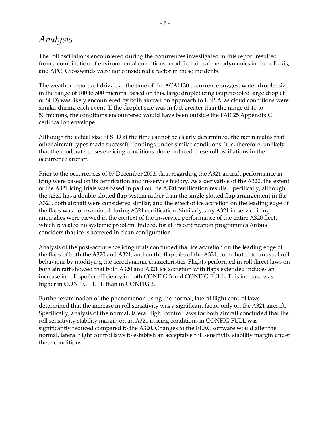## *Analysis*

The roll oscillations encountered during the occurrences investigated in this report resulted from a combination of environmental conditions, modified aircraft aerodynamics in the roll axis, and APC. Crosswinds were not considered a factor in these incidents.

The weather reports of drizzle at the time of the ACA1130 occurrence suggest water droplet size in the range of 100 to 500 microns. Based on this, large droplet icing (supercooled large droplet or SLD) was likely encountered by both aircraft on approach to LBPIA, as cloud conditions were similar during each event. If the droplet size was in fact greater than the range of 40 to 50 microns, the conditions encountered would have been outside the FAR 25 Appendix C certification envelope.

Although the actual size of SLD at the time cannot be clearly determined, the fact remains that other aircraft types made successful landings under similar conditions. It is, therefore, unlikely that the moderate-to-severe icing conditions alone induced these roll oscillations in the occurrence aircraft.

Prior to the occurrences of 07 December 2002, data regarding the A321 aircraft performance in icing were based on its certification and in-service history. As a derivative of the A320, the extent of the A321 icing trials was based in part on the A320 certification results. Specifically, although the A321 has a double-slotted flap system rather than the single-slotted flap arrangement in the A320, both aircraft were considered similar, and the effect of ice accretion on the leading edge of the flaps was not examined during A321 certification. Similarly, any A321 in-service icing anomalies were viewed in the context of the in-service performance of the entire A320 fleet, which revealed no systemic problem. Indeed, for all its certification programmes Airbus considers that ice is accreted in clean configuration.

Analysis of the post-occurrence icing trials concluded that ice accretion on the leading edge of the flaps of both the A320 and A321, and on the flap tabs of the A321, contributed to unusual roll behaviour by modifying the aerodynamic characteristics. Flights performed in roll direct laws on both aircraft showed that both A320 and A321 ice accretion with flaps extended induces an increase in roll spoiler efficiency in both CONFIG 3 and CONFIG FULL. This increase was higher in CONFIG FULL than in CONFIG 3.

Further examination of the phenomenon using the normal, lateral flight control laws determined that the increase in roll sensitivity was a significant factor only on the A321 aircraft. Specifically, analysis of the normal, lateral flight control laws for both aircraft concluded that the roll sensitivity stability margin on an A321 in icing conditions in CONFIG FULL was significantly reduced compared to the A320. Changes to the ELAC software would alter the normal, lateral flight control laws to establish an acceptable roll sensitivity stability margin under these conditions.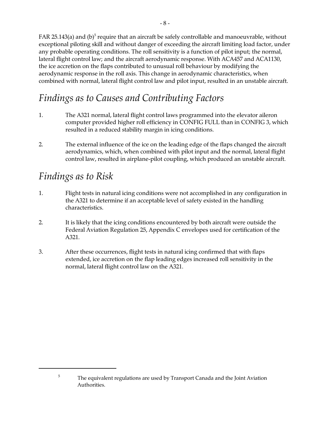FAR 25.143(a) and (b) $^5$  require that an aircraft be safely controllable and manoeuvrable, without exceptional piloting skill and without danger of exceeding the aircraft limiting load factor, under any probable operating conditions. The roll sensitivity is a function of pilot input; the normal, lateral flight control law; and the aircraft aerodynamic response. With ACA457 and ACA1130, the ice accretion on the flaps contributed to unusual roll behaviour by modifying the aerodynamic response in the roll axis. This change in aerodynamic characteristics, when combined with normal, lateral flight control law and pilot input, resulted in an unstable aircraft.

# *Findings as to Causes and Contributing Factors*

- 1. The A321 normal, lateral flight control laws programmed into the elevator aileron computer provided higher roll efficiency in CONFIG FULL than in CONFIG 3, which resulted in a reduced stability margin in icing conditions.
- 2. The external influence of the ice on the leading edge of the flaps changed the aircraft aerodynamics, which, when combined with pilot input and the normal, lateral flight control law, resulted in airplane-pilot coupling, which produced an unstable aircraft.

# *Findings as to Risk*

- 1. Flight tests in natural icing conditions were not accomplished in any configuration in the A321 to determine if an acceptable level of safety existed in the handling characteristics.
- 2. It is likely that the icing conditions encountered by both aircraft were outside the Federal Aviation Regulation 25, Appendix C envelopes used for certification of the A321.
- 3. After these occurrences, flight tests in natural icing confirmed that with flaps extended, ice accretion on the flap leading edges increased roll sensitivity in the normal, lateral flight control law on the A321.

<sup>&</sup>lt;sup>5</sup> The equivalent regulations are used by Transport Canada and the Joint Aviation Authorities.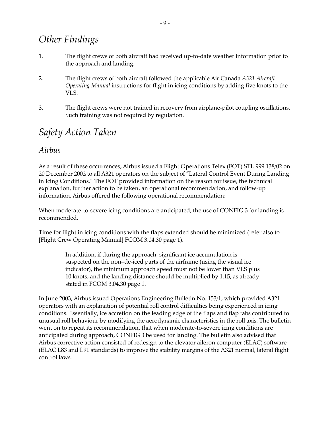# *Other Findings*

- 1. The flight crews of both aircraft had received up-to-date weather information prior to the approach and landing.
- 2. The flight crews of both aircraft followed the applicable Air Canada *A321 Aircraft Operating Manual* instructions for flight in icing conditions by adding five knots to the VLS.
- 3. The flight crews were not trained in recovery from airplane-pilot coupling oscillations. Such training was not required by regulation.

## *Safety Action Taken*

#### *Airbus*

As a result of these occurrences, Airbus issued a Flight Operations Telex (FOT) STL 999.138/02 on 20 December 2002 to all A321 operators on the subject of "Lateral Control Event During Landing in Icing Conditions." The FOT provided information on the reason for issue, the technical explanation, further action to be taken, an operational recommendation, and follow-up information. Airbus offered the following operational recommendation:

When moderate-to-severe icing conditions are anticipated, the use of CONFIG 3 for landing is recommended.

Time for flight in icing conditions with the flaps extended should be minimized (refer also to [Flight Crew Operating Manual] FCOM 3.04.30 page 1).

> In addition, if during the approach, significant ice accumulation is suspected on the non-de-iced parts of the airframe (using the visual ice indicator), the minimum approach speed must not be lower than VLS plus 10 knots, and the landing distance should be multiplied by 1.15, as already stated in FCOM 3.04.30 page 1.

In June 2003, Airbus issued Operations Engineering Bulletin No. 153/1, which provided A321 operators with an explanation of potential roll control difficulties being experienced in icing conditions. Essentially, ice accretion on the leading edge of the flaps and flap tabs contributed to unusual roll behaviour by modifying the aerodynamic characteristics in the roll axis. The bulletin went on to repeat its recommendation, that when moderate-to-severe icing conditions are anticipated during approach, CONFIG 3 be used for landing. The bulletin also advised that Airbus corrective action consisted of redesign to the elevator aileron computer (ELAC) software (ELAC L83 and L91 standards) to improve the stability margins of the A321 normal, lateral flight control laws.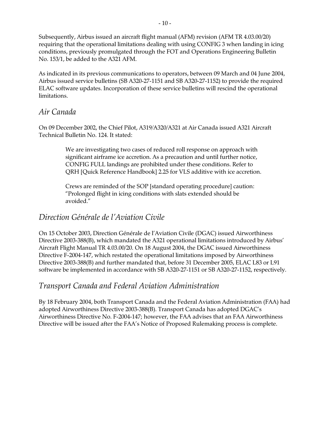Subsequently, Airbus issued an aircraft flight manual (AFM) revision (AFM TR 4.03.00/20) requiring that the operational limitations dealing with using CONFIG 3 when landing in icing conditions, previously promulgated through the FOT and Operations Engineering Bulletin No. 153/1, be added to the A321 AFM.

As indicated in its previous communications to operators, between 09 March and 04 June 2004, Airbus issued service bulletins (SB A320-27-1151 and SB A320-27-1152) to provide the required ELAC software updates. Incorporation of these service bulletins will rescind the operational limitations.

### *Air Canada*

On 09 December 2002, the Chief Pilot, A319/A320/A321 at Air Canada issued A321 Aircraft Technical Bulletin No. 124. It stated:

> We are investigating two cases of reduced roll response on approach with significant airframe ice accretion. As a precaution and until further notice, CONFIG FULL landings are prohibited under these conditions. Refer to QRH [Quick Reference Handbook] 2.25 for VLS additive with ice accretion.

Crews are reminded of the SOP [standard operating procedure] caution: "Prolonged flight in icing conditions with slats extended should be avoided."

### *Direction GÈnÈrale de líAviation Civile*

On 15 October 2003, Direction Générale de l'Aviation Civile (DGAC) issued Airworthiness Directive 2003-388(B), which mandated the A321 operational limitations introduced by Airbus' Aircraft Flight Manual TR 4.03.00/20. On 18 August 2004, the DGAC issued Airworthiness Directive F-2004-147, which restated the operational limitations imposed by Airworthiness Directive 2003-388(B) and further mandated that, before 31 December 2005, ELAC L83 or L91 software be implemented in accordance with SB A320-27-1151 or SB A320-27-1152, respectively.

#### *Transport Canada and Federal Aviation Administration*

By 18 February 2004, both Transport Canada and the Federal Aviation Administration (FAA) had adopted Airworthiness Directive 2003-388(B). Transport Canada has adopted DGAC's Airworthiness Directive No. F-2004-147; however, the FAA advises that an FAA Airworthiness Directive will be issued after the FAAís Notice of Proposed Rulemaking process is complete.